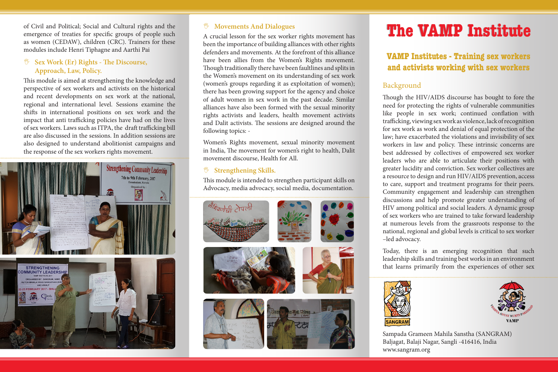of Civil and Political; Social and Cultural rights and the emergence of treaties for specific groups of people such as women (CEDAW), children (CRC). Trainers for these modules include Henri Tiphagne and Aarthi Pai

# , **Sex Work (Er) Rights - The Discourse, Approach, Law, Policy.**

This module is aimed at strengthening the knowledge and perspective of sex workers and activists on the historical and recent developments on sex work at the national, regional and international level. Sessions examine the shifts in international positions on sex work and the impact that anti trafficking policies have had on the lives of sex workers. Laws such as ITPA, the draft trafficking bill are also discussed in the sessions. In addition sessions are also designed to understand abolitionist campaigns and the response of the sex workers rights movement.



#### , **Movements And Dialogues**

A crucial lesson for the sex worker rights movement has been the importance of building alliances with other rights defenders and movements. At the forefront of this alliance have been allies from the Women's Rights movement. Though traditionally there have been faultlines and splits in the Women's movement on its understanding of sex work (women's groups regarding it as exploitation of women); there has been growing support for the agency and choice of adult women in sex work in the past decade. Similar alliances have also been formed with the sexual minority rights activists and leaders, health movement activists and Dalit activists. The sessions are designed around the following topics: -

Women's Rights movement, sexual minority movement in India, The movement for women's right to health, Dalit movement discourse, Health for All.

#### , **Strengthening Skills.**

This module is intended to strengthen participant skills on Advocacy, media advocacy, social media, documentation.





# **The VAMP Institute The VAMP Institute**

# **VAMP Institutes - Training sex workers and activists working with sex workers**

# Background

Though the HIV/AIDS discourse has bought to fore the need for protecting the rights of vulnerable communities like people in sex work; continued conflation with trafficking, viewing sex work as violence, lack of recognition for sex work as work and denial of equal protection of the law; have exacerbated the violations and invisibility of sex workers in law and policy. These intrinsic concerns are best addressed by collectives of empowered sex worker leaders who are able to articulate their positions with greater lucidity and conviction. Sex worker collectives are a resource to design and run HIV/AIDS prevention, access to care, support and treatment programs for their peers. Community engagement and leadership can strengthen discussions and help promote greater understanding of HIV among political and social leaders. A dynamic group of sex workers who are trained to take forward leadership at numerous levels from the grassroots response to the national, regional and global levels is critical to sex worker –led advocacy.

Today, there is an emerging recognition that such leadership skills and training best works in an environment that learns primarily from the experiences of other sex





Sampada Grameen Mahila Sanstha (SANGRAM) Baljagat, Balaji Nagar, Sangli -416416, India www.sangram.org